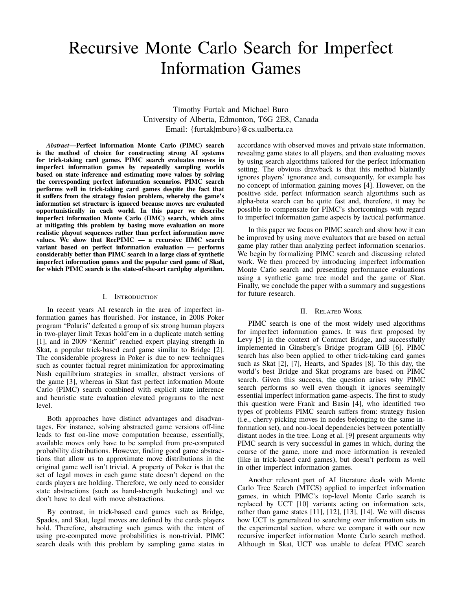# Recursive Monte Carlo Search for Imperfect Information Games

Timothy Furtak and Michael Buro University of Alberta, Edmonton, T6G 2E8, Canada Email: {furtak|mburo}@cs.ualberta.ca

*Abstract***—Perfect information Monte Carlo (PIMC) search is the method of choice for constructing strong AI systems for trick-taking card games. PIMC search evaluates moves in imperfect information games by repeatedly sampling worlds based on state inference and estimating move values by solving the corresponding perfect information scenarios. PIMC search performs well in trick-taking card games despite the fact that it suffers from the strategy fusion problem, whereby the game's information set structure is ignored because moves are evaluated opportunistically in each world. In this paper we describe imperfect information Monte Carlo (IIMC) search, which aims at mitigating this problem by basing move evaluation on more realistic playout sequences rather than perfect information move values. We show that RecPIMC — a recursive IIMC search variant based on perfect information evaluation — performs considerably better than PIMC search in a large class of synthetic imperfect information games and the popular card game of Skat, for which PIMC search is the state-of-the-art cardplay algorithm.**

#### I. Introduction

In recent years AI research in the area of imperfect information games has flourished. For instance, in 2008 Poker program "Polaris" defeated a group of six strong human players in two-player limit Texas hold'em in a duplicate match setting [1], and in 2009 "Kermit" reached expert playing strength in Skat, a popular trick-based card game similar to Bridge [2]. The considerable progress in Poker is due to new techniques such as counter factual regret minimization for approximating Nash equilibrium strategies in smaller, abstract versions of the game [3], whereas in Skat fast perfect information Monte Carlo (PIMC) search combined with explicit state inference and heuristic state evaluation elevated programs to the next level.

Both approaches have distinct advantages and disadvantages. For instance, solving abstracted game versions off-line leads to fast on-line move computation because, essentially, available moves only have to be sampled from pre-computed probability distributions. However, finding good game abstractions that allow us to approximate move distributions in the original game well isn't trivial. A property of Poker is that the set of legal moves in each game state doesn't depend on the cards players are holding. Therefore, we only need to consider state abstractions (such as hand-strength bucketing) and we don't have to deal with move abstractions.

By contrast, in trick-based card games such as Bridge, Spades, and Skat, legal moves are defined by the cards players hold. Therefore, abstracting such games with the intent of using pre-computed move probabilities is non-trivial. PIMC search deals with this problem by sampling game states in accordance with observed moves and private state information, revealing game states to all players, and then evaluating moves by using search algorithms tailored for the perfect information setting. The obvious drawback is that this method blatantly ignores players' ignorance and, consequently, for example has no concept of information gaining moves [4]. However, on the positive side, perfect information search algorithms such as alpha-beta search can be quite fast and, therefore, it may be possible to compensate for PIMC's shortcomings with regard to imperfect information game aspects by tactical performance.

In this paper we focus on PIMC search and show how it can be improved by using move evaluators that are based on actual game play rather than analyzing perfect information scenarios. We begin by formalizing PIMC search and discussing related work. We then proceed by introducing imperfect information Monte Carlo search and presenting performance evaluations using a synthetic game tree model and the game of Skat. Finally, we conclude the paper with a summary and suggestions for future research.

#### II. Related Work

PIMC search is one of the most widely used algorithms for imperfect information games. It was first proposed by Levy [5] in the context of Contract Bridge, and successfully implemented in Ginsberg's Bridge program GIB [6]. PIMC search has also been applied to other trick-taking card games such as Skat [2], [7], Hearts, and Spades [8]. To this day, the world's best Bridge and Skat programs are based on PIMC search. Given this success, the question arises why PIMC search performs so well even though it ignores seemingly essential imperfect information game-aspects. The first to study this question were Frank and Basin [4], who identified two types of problems PIMC search suffers from: strategy fusion (i.e., cherry-picking moves in nodes belonging to the same information set), and non-local dependencies between potentially distant nodes in the tree. Long et al. [9] present arguments why PIMC search is very successful in games in which, during the course of the game, more and more information is revealed (like in trick-based card games), but doesn't perform as well in other imperfect information games.

Another relevant part of AI literature deals with Monte Carlo Tree Search (MTCS) applied to imperfect information games, in which PIMC's top-level Monte Carlo search is replaced by UCT [10] variants acting on information sets, rather than game states [11], [12], [13], [14]. We will discuss how UCT is generalized to searching over information sets in the experimental section, where we compare it with our new recursive imperfect information Monte Carlo search method. Although in Skat, UCT was unable to defeat PIMC search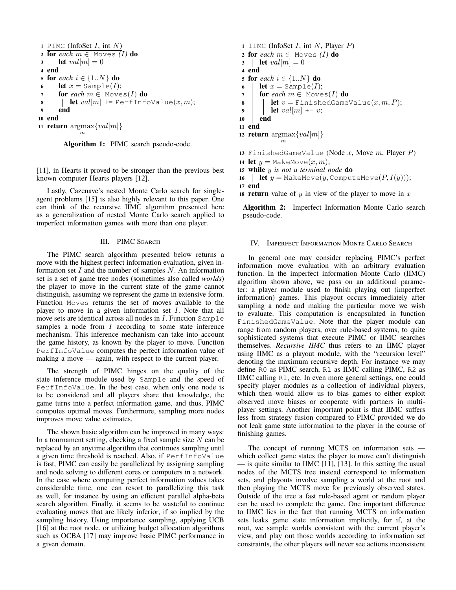```
1 PIMC (InfoSet I, int N)
2 for each m \in Moves (I) do
3 let val[m] = 04 end
5 for each i \in \{1..N\} do
6 let x = \text{Sample}(I);7 for each m \in \text{Moves}(I) do
8 e let val[m] += PerfInfoValue(x, m);
9 end
10 end
11 return \arg \max \{ val[m] \}
```
m

**Algorithm 1:** PIMC search pseudo-code.

[11], in Hearts it proved to be stronger than the previous best known computer Hearts players [12].

Lastly, Cazenave's nested Monte Carlo search for singleagent problems [15] is also highly relevant to this paper. One can think of the recursive IIMC algorithm presented here as a generalization of nested Monte Carlo search applied to imperfect information games with more than one player.

# III. PIMC Search

The PIMC search algorithm presented below returns a move with the highest perfect information evaluation, given information set  $I$  and the number of samples  $N$ . An information set is a set of game tree nodes (sometimes also called *worlds*) the player to move in the current state of the game cannot distinguish, assuming we represent the game in extensive form. Function Moves returns the set of moves available to the player to move in a given information set  $I$ . Note that all move sets are identical across all nodes in  $I$ . Function Sample samples a node from  $I$  according to some state inference mechanism. This inference mechanism can take into account the game history, as known by the player to move. Function PerfInfoValue computes the perfect information value of making a move — again, with respect to the current player.

The strength of PIMC hinges on the quality of the state inference module used by Sample and the speed of PerfInfoValue. In the best case, when only one node is to be considered and all players share that knowledge, the game turns into a perfect information game, and thus, PIMC computes optimal moves. Furthermore, sampling more nodes improves move value estimates.

The shown basic algorithm can be improved in many ways: In a tournament setting, checking a fixed sample size  $N$  can be replaced by an anytime algorithm that continues sampling until a given time threshold is reached. Also, if PerfInfoValue is fast, PIMC can easily be parallelized by assigning sampling and node solving to different cores or computers in a network. In the case where computing perfect information values takes considerable time, one can resort to parallelizing this task as well, for instance by using an efficient parallel alpha-beta search algorithm. Finally, it seems to be wasteful to continue evaluating moves that are likely inferior, if so implied by the sampling history. Using importance sampling, applying UCB [16] at the root node, or utilizing budget allocation algorithms such as OCBA [17] may improve basic PIMC performance in a given domain.

```
1 IIMC (InfoSet I, int N, Player P)
2 for each m \in \mathbb{M}oves (I) do
3 let val[m] = 04 end
5 for each i \in \{1..N\} do
6 let x = \text{Sample}(I);7 for each m \in \text{Moves}(I) do
8 e let v = FinishedGameValue(x, m, P);
9 let val[m] += v;10 end
11 end
12 <b>return \arg\max \{ val[m] \}m
13 FinishedGameValue (Node x, Move m, Player P)
14 let y = \text{MakeMove}(x, m);15 while y is not a terminal node do
16 let y = \text{MakeMove}(y, \text{ComputeMove}(P, I(y))),17 end
```
**18 <b>return** value of y in view of the player to move in  $x$ 

**Algorithm 2:** Imperfect Information Monte Carlo search pseudo-code.

#### IV. Imperfect Information Monte Carlo Search

In general one may consider replacing PIMC's perfect information move evaluation with an arbitrary evaluation function. In the imperfect information Monte Carlo (IIMC) algorithm shown above, we pass on an additional parameter: a player module used to finish playing out (imperfect information) games. This playout occurs immediately after sampling a node and making the particular move we wish to evaluate. This computation is encapsulated in function FinishedGameValue. Note that the player module can range from random players, over rule-based systems, to quite sophisticated systems that execute PIMC or IIMC searches themselves. *Recursive IIMC* thus refers to an IIMC player using IIMC as a playout module, with the "recursion level" denoting the maximum recursive depth. For instance we may define R0 as PIMC search, R1 as IIMC calling PIMC, R2 as IIMC calling R1, etc. In even more general settings, one could specify player modules as a collection of individual players, which then would allow us to bias games to either exploit observed move biases or cooperate with partners in multiplayer settings. Another important point is that IIMC suffers less from strategy fusion compared to PIMC provided we do not leak game state information to the player in the course of finishing games.

The concept of running MCTS on information sets which collect game states the player to move can't distinguish — is quite similar to IIMC [11], [13]. In this setting the usual nodes of the MCTS tree instead correspond to information sets, and playouts involve sampling a world at the root and then playing the MCTS move for previously observed states. Outside of the tree a fast rule-based agent or random player can be used to complete the game. One important difference to IIMC lies in the fact that running MCTS on information sets leaks game state information implicitly, for if, at the root, we sample worlds consistent with the current player's view, and play out those worlds according to information set constraints, the other players will never see actions inconsistent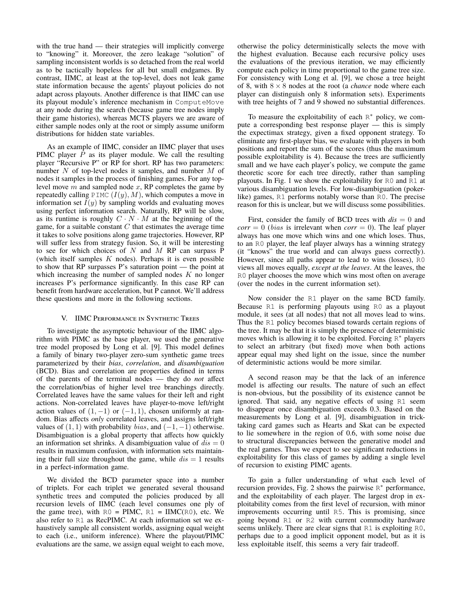with the true hand — their strategies will implicitly converge to "knowing" it. Moreover, the zero leakage "solution" of sampling inconsistent worlds is so detached from the real world as to be tactically hopeless for all but small endgames. By contrast, IIMC, at least at the top-level, does not leak game state information because the agents' playout policies do not adapt across playouts. Another difference is that IIMC can use its playout module's inference mechanism in ComputeMove at any node during the search (because game tree nodes imply their game histories), whereas MCTS players we are aware of either sample nodes only at the root or simply assume uniform distributions for hidden state variables.

As an example of IIMC, consider an IIMC player that uses PIMC player  $P$  as its player module. We call the resulting player "Recursive P" or RP for short. RP has two parameters: number N of top-level nodes it samples, and number M of nodes it samples in the process of finishing games. For any toplevel move  $m$  and sampled node  $x$ , RP completes the game by repeatedly calling PIMC  $(I(y), M)$ , which computes a move in information set  $I(y)$  by sampling worlds and evaluating moves using perfect information search. Naturally, RP will be slow, as its runtime is roughly  $C \cdot N \cdot M$  at the beginning of the game, for a suitable constant  $C$  that estimates the average time it takes to solve positions along game trajectories. However, RP will suffer less from strategy fusion. So, it will be interesting to see for which choices of  $N$  and  $M$  RP can surpass P (which itself samples  $K$  nodes). Perhaps it is even possible to show that RP surpasses P's saturation point — the point at which increasing the number of sampled nodes  $K$  no longer increases P's performance significantly. In this case RP can benefit from hardware acceleration, but P cannot. We'll address these questions and more in the following sections.

## V. IIMC Performance in Synthetic Trees

To investigate the asymptotic behaviour of the IIMC algorithm with PIMC as the base player, we used the generative tree model proposed by Long et al. [9]. This model defines a family of binary two-player zero-sum synthetic game trees parameterized by their *bias*, *correlation*, and *disambiguation* (BCD). Bias and correlation are properties defined in terms of the parents of the terminal nodes — they do *not* affect the correlation/bias of higher level tree branchings directly. Correlated leaves have the same values for their left and right actions. Non-correlated leaves have player-to-move left/right action values of  $(1, -1)$  or  $(-1, 1)$ , chosen uniformly at random. Bias affects *only* correlated leaves, and assigns left/right values of  $(1, 1)$  with probability *bias*, and  $(-1, -1)$  otherwise. Disambiguation is a global property that affects how quickly an information set shrinks. A disambiguation value of  $dis = 0$ results in maximum confusion, with information sets maintaining their full size throughout the game, while  $dis = 1$  results in a perfect-information game.

We divided the BCD parameter space into a number of triplets. For each triplet we generated several thousand synthetic trees and computed the policies produced by all recursion levels of IIMC (each level consumes one ply of the game tree), with  $R0 = PIMC$ ,  $R1 = IIMC(R0)$ , etc. We also refer to R1 as RecPIMC. At each information set we exhaustively sample all consistent worlds, assigning equal weight to each (i.e., uniform inference). Where the playout/PIMC evaluations are the same, we assign equal weight to each move, otherwise the policy deterministically selects the move with the highest evaluation. Because each recursive policy uses the evaluations of the previous iteration, we may efficiently compute each policy in time proportional to the game tree size. For consistency with Long et al. [9], we chose a tree height of 8, with 8 × 8 nodes at the root (a *chance* node where each player can distinguish only 8 information sets). Experiments with tree heights of 7 and 9 showed no substantial differences.

To measure the exploitability of each  $R^*$  policy, we compute a corresponding best response player — this is simply the expectimax strategy, given a fixed opponent strategy. To eliminate any first-player bias, we evaluate with players in both positions and report the sum of the scores (thus the maximum possible exploitability is 4). Because the trees are sufficiently small and we have each player's policy, we compute the game theoretic score for each tree directly, rather than sampling playouts. In Fig. 1 we show the exploitability for R0 and R1 at various disambiguation levels. For low-disambiguation (pokerlike) games, R1 performs notably worse than R0. The precise reason for this is unclear, but we will discuss some possibilities.

First, consider the family of BCD trees with  $dis = 0$  and  $corr = 0$  (*bias* is irrelevant when  $corr = 0$ ). The leaf player always has one move which wins and one which loses. Thus, to an R0 player, the leaf player always has a winning strategy (it "knows" the true world and can always guess correctly). However, since all paths appear to lead to wins (losses), R0 views all moves equally, *except at the leaves*. At the leaves, the R0 player chooses the move which wins most often on average (over the nodes in the current information set).

Now consider the R1 player on the same BCD family. Because R1 is performing playouts using R0 as a playout module, it sees (at all nodes) that not all moves lead to wins. Thus the R1 policy becomes biased towards certain regions of the tree. It may be that it is simply the presence of deterministic moves which is allowing it to be exploited. Forcing  $R^*$  players to select an arbitrary (but fixed) move when both actions appear equal may shed light on the issue, since the number of deterministic actions would be more similar.

A second reason may be that the lack of an inference model is affecting our results. The nature of such an effect is non-obvious, but the possibility of its existence cannot be ignored. That said, any negative effects of using R1 seem to disappear once disambiguation exceeds 0.3. Based on the measurements by Long et al. [9], disambiguation in tricktaking card games such as Hearts and Skat can be expected to lie somewhere in the region of 0.6, with some noise due to structural discrepancies between the generative model and the real games. Thus we expect to see significant reductions in exploitability for this class of games by adding a single level of recursion to existing PIMC agents.

To gain a fuller understanding of what each level of recursion provides, Fig. 2 shows the pairwise  $R^*$  performance, and the exploitability of each player. The largest drop in exploitability comes from the first level of recursion, with minor improvements occurring until R5. This is promising, since going beyond R1 or R2 with current commodity hardware seems unlikely. There are clear signs that R1 is exploiting R0, perhaps due to a good implicit opponent model, but as it is less exploitable itself, this seems a very fair tradeoff.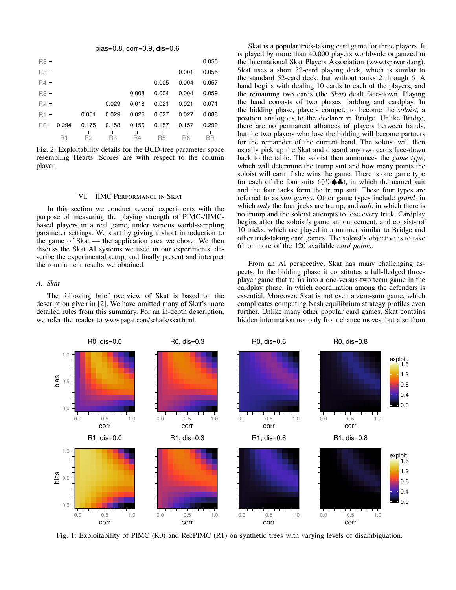bias=0.8, corr=0.9, dis=0.6

| $R8 -$ |              |                |       |           |                |                | 0.055     |
|--------|--------------|----------------|-------|-----------|----------------|----------------|-----------|
| $R5 -$ |              |                |       |           |                | 0.001          | 0.055     |
| $R4 -$ |              |                |       |           | 0.005          | 0.004          | 0.057     |
| $R3 -$ |              |                |       | 0.008     | 0.004          | 0.004          | 0.059     |
| $R2 -$ |              |                | 0.029 | 0.018     | 0.021          | 0.021          | 0.071     |
| $R1 -$ |              | 0.051          | 0.029 | 0.025     | 0.027          | 0.027          | 0.088     |
|        | $R0 - 0.294$ | 0.175          | 0.158 | 0.156     | 0.157          | 0.157          | 0.299     |
|        | R1           | R <sub>2</sub> | R3    | <b>R4</b> | R <sub>5</sub> | R <sub>8</sub> | <b>BR</b> |

Fig. 2: Exploitability details for the BCD-tree parameter space resembling Hearts. Scores are with respect to the column player.

#### VI. IIMC Performance in Skat

In this section we conduct several experiments with the purpose of measuring the playing strength of PIMC-/IIMCbased players in a real game, under various world-sampling parameter settings. We start by giving a short introduction to the game of Skat — the application area we chose. We then discuss the Skat AI systems we used in our experiments, describe the experimental setup, and finally present and interpret the tournament results we obtained.

## *A. Skat*

The following brief overview of Skat is based on the description given in [2]. We have omitted many of Skat's more detailed rules from this summary. For an in-depth description, we refer the reader to www.pagat.com/schafk/skat.html.

Skat is a popular trick-taking card game for three players. It is played by more than 40,000 players worldwide organized in the International Skat Players Association (www.ispaworld.org). Skat uses a short 32-card playing deck, which is similar to the standard 52-card deck, but without ranks 2 through 6. A hand begins with dealing 10 cards to each of the players, and the remaining two cards (the *Skat*) dealt face-down. Playing the hand consists of two phases: bidding and cardplay. In the bidding phase, players compete to become the *soloist*, a position analogous to the declarer in Bridge. Unlike Bridge, there are no permanent alliances of players between hands, but the two players who lose the bidding will become partners for the remainder of the current hand. The soloist will then usually pick up the Skat and discard any two cards face-down back to the table. The soloist then announces the *game type*, which will determine the trump suit and how many points the soloist will earn if she wins the game. There is one game type for each of the four suits ( $\Diamond \heartsuit \spadesuit \clubsuit$ ), in which the named suit and the four jacks form the trump suit. These four types are referred to as *suit games*. Other game types include *grand*, in which *only* the four jacks are trump, and *null*, in which there is no trump and the soloist attempts to lose every trick. Cardplay begins after the soloist's game announcement, and consists of 10 tricks, which are played in a manner similar to Bridge and other trick-taking card games. The soloist's objective is to take 61 or more of the 120 available *card points*.

From an AI perspective, Skat has many challenging aspects. In the bidding phase it constitutes a full-fledged threeplayer game that turns into a one-versus-two team game in the cardplay phase, in which coordination among the defenders is essential. Moreover, Skat is not even a zero-sum game, which complicates computing Nash equilibrium strategy profiles even further. Unlike many other popular card games, Skat contains hidden information not only from chance moves, but also from



Fig. 1: Exploitability of PIMC (R0) and RecPIMC (R1) on synthetic trees with varying levels of disambiguation.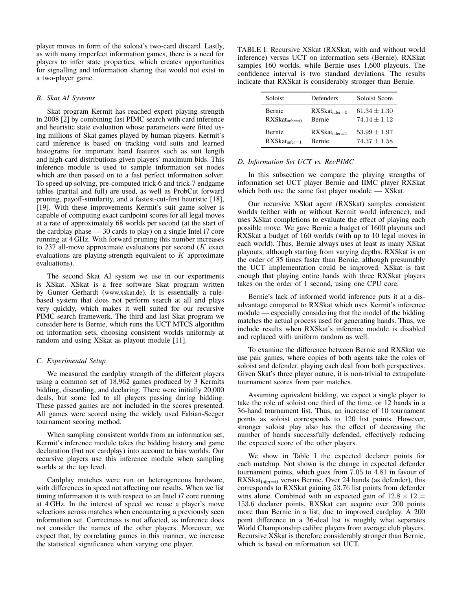player moves in form of the soloist's two-card discard. Lastly, as with many imperfect information games, there is a need for players to infer state properties, which creates opportunities for signalling and information sharing that would not exist in a two-player game.

## *B. Skat AI Systems*

Skat program Kermit has reached expert playing strength in 2008 [2] by combining fast PIMC search with card inference and heuristic state evaluation whose parameters were fitted using millions of Skat games played by human players. Kermit's card inference is based on tracking void suits and learned histograms for important hand features such as suit length and high-card distributions given players' maximum bids. This inference module is used to sample information set nodes which are then passed on to a fast perfect information solver. To speed up solving, pre-computed trick-6 and trick-7 endgame tables (partial and full) are used, as well as ProbCut forward pruning, payoff-similarity, and a fastest-cut-first heuristic [18], [19]. With these improvements Kermit's suit game solver is capable of computing exact cardpoint scores for all legal moves at a rate of approximately 68 worlds per second (at the start of the cardplay phase — 30 cards to play) on a single Intel i7 core running at 4 GHz. With forward pruning this number increases to 237 all-move approximate evaluations per second  $(K \text{ exact})$ evaluations are playing-strength equivalent to  $K$  approximate evaluations).

The second Skat AI system we use in our experiments is XSkat. XSkat is a free software Skat program written by Gunter Gerhardt (www.xskat.de). It is essentially a rulebased system that does not perform search at all and plays very quickly, which makes it well suited for our recursive PIMC search framework. The third and last Skat program we consider here is Bernie, which runs the UCT MTCS algorithm on information sets, choosing consistent worlds uniformly at random and using XSkat as playout module [11].

# *C. Experimental Setup*

We measured the cardplay strength of the different players using a common set of 18,962 games produced by 3 Kermits bidding, discarding, and declaring. There were initially 20,000 deals, but some led to all players passing during bidding. These passed games are not included in the scores presented. All games were scored using the widely used Fabian-Seeger tournament scoring method.

When sampling consistent worlds from an information set, Kermit's inference module takes the bidding history and game declaration (but not cardplay) into account to bias worlds. Our recursive players use this inference module when sampling worlds at the top level.

Cardplay matches were run on heterogeneous hardware, with differences in speed not affecting our results. When we list timing information it is with respect to an Intel i7 core running at 4 GHz. In the interest of speed we reuse a player's move selections across matches when encountering a previously seen information set. Correctness is not affected, as inference does not consider the names of the other players. Moreover, we expect that, by correlating games in this manner, we increase the statistical significance when varying one player.

TABLE I: Recursive XSkat (RXSkat, with and without world inference) versus UCT on information sets (Bernie). RXSkat samples 160 worlds, while Bernie uses 1,600 playouts. The confidence interval is two standard deviations. The results indicate that RXSkat is considerably stronger than Bernie.

| Soloist                   | Defenders                 | Soloist Score    |  |  |
|---------------------------|---------------------------|------------------|--|--|
| Bernie                    | $RXSkat_{\text{infer}=0}$ | $61.34 \pm 1.30$ |  |  |
| $RXSkat_{\text{infer}=0}$ | <b>Bernie</b>             | $74.14 + 1.12$   |  |  |
| Bernie                    | $RXSkat_{\text{infer}=1}$ | $53.99 \pm 1.97$ |  |  |
| $RXSkat_{\text{infer}=1}$ | <b>Bernie</b>             | $74.37 + 1.58$   |  |  |

## *D. Information Set UCT vs. RecPIMC*

In this subsection we compare the playing strengths of information set UCT player Bernie and IIMC player RXSkat which both use the same fast player module — XSkat.

Our recursive XSkat agent (RXSkat) samples consistent worlds (either with or without Kermit world inference), and uses XSkat completions to evaluate the effect of playing each possible move. We gave Bernie a budget of 1600 playouts and RXSkat a budget of 160 worlds (with up to 10 legal moves in each world). Thus, Bernie always uses at least as many XSkat playouts, although starting from varying depths. RXSkat is on the order of 35 times faster than Bernie, although presumably the UCT implementation could be improved. XSkat is fast enough that playing entire hands with three RXSkat players takes on the order of 1 second, using one CPU core.

Bernie's lack of informed world inference puts it at a disadvantage compared to RXSkat which uses Kermit's inference module — especially considering that the model of the bidding matches the actual process used for generating hands. Thus, we include results when RXSkat's inference module is disabled and replaced with uniform random as well.

To examine the difference between Bernie and RXSkat we use pair games, where copies of both agents take the roles of soloist and defender, playing each deal from both perspectives. Given Skat's three player nature, it is non-trivial to extrapolate tournament scores from pair matches.

Assuming equivalent bidding, we expect a single player to take the role of soloist one third of the time, or 12 hands in a 36-hand tournament list. Thus, an increase of 10 tournament points as soloist corresponds to 120 list points. However, stronger soloist play also has the effect of decreasing the number of hands successfully defended, effectively reducing the expected score of the other players.

We show in Table I the expected declarer points for each matchup. Not shown is the change in expected defender tournament points, which goes from 7.05 to 4.81 in favour of  $RXSkat_{\text{infer}=0}$  versus Bernie. Over 24 hands (as defender), this corresponds to RXSkat gaining 53.76 list points from defender wins alone. Combined with an expected gain of  $12.8 \times 12 =$ 153.6 declarer points, RXSkat can acquire over 200 points more than Bernie in a list, due to improved cardplay. A 200 point difference in a 36-deal list is roughly what separates World Championship calibre players from average club players. Recursive XSkat is therefore considerably stronger than Bernie, which is based on information set UCT.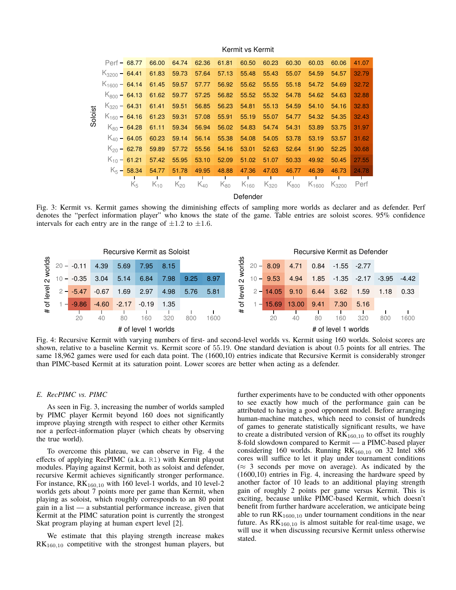|         |                    |                         |                          |          |          |                | Defender       |           |           |            |                   |       |
|---------|--------------------|-------------------------|--------------------------|----------|----------|----------------|----------------|-----------|-----------|------------|-------------------|-------|
|         |                    | $K_5$                   | $K_{10}$                 | $K_{20}$ | $K_{40}$ | Ш.<br>$K_{80}$ | ш<br>$K_{160}$ | $K_{320}$ | $K_{800}$ | $K_{1600}$ | - 1<br>$K_{3200}$ | Perf  |
|         |                    | $K_5 - 58.34$           | 54.77                    | 51.78    | 49.95    | 48.88          | 47.36          | 47.03     | 46.77     | 46.39      | 46.73             | 24.78 |
|         |                    | $K_{10}$ – 61.21        | 57.42                    | 55.95    | 53.10    | 52.09          | 51.02          | 51.07     | 50.33     | 49.92      | 50.45             | 27.55 |
|         |                    | $K_{20}$ – 62.78        | 59.89                    | 57.72    | 55.56    | 54.16          | 53.01          | 52.63     | 52.64     | 51.90      | 52.25             | 30.68 |
|         |                    | $K_{40}$ – 64.05        | 60.23                    | 59.14    | 56.14    | 55.38          | 54.08          | 54.05     | 53.78     | 53.19      | 53.57             | 31.62 |
|         |                    |                         | $K_{80}$ – 64.28 61.11   | 59.34    | 56.94    | 56.02          | 54.83          | 54.74     | 54.31     | 53.89      | 53.75             | 31.97 |
| Soloist |                    | $K_{160}$ – 64.16 61.23 |                          | 59.31    | 57.08    | 55.91          | 55.19          | 55.07     | 54.77     | 54.32      | 54.35             | 32.43 |
|         |                    |                         | $K_{320}$ – 64.31 61.41  | 59.51    | 56.85    | 56.23          | 54.81          | 55.13     | 54.59     | 54.10      | 54.16             | 32.83 |
|         |                    |                         | $K_{800}$ – 64.13 61.62  | 59.77    | 57.25    | 56.82          | 55.52          | 55.32     | 54.78     | 54.62      | 54.63             | 32.88 |
|         |                    |                         | $K_{1600}$ – 64.14 61.45 | 59.57    | 57.77    | 56.92          | 55.62          | 55.55     | 55.18     | 54.72      | 54.69             | 32.72 |
|         | $K_{3200}$ – 64.41 |                         | 61.83                    | 59.73    | 57.64    | 57.13          | 55.48          | 55.43     | 55.07     | 54.59      | 54.57             | 32.79 |
|         |                    | $Perf = 68.77$          | 66.00                    | 64.74    | 62.36    | 61.81          | 60.50          | 60.23     | 60.30     | 60.03      | 60.06             | 41.07 |
|         |                    |                         |                          |          |          |                |                |           |           |            |                   |       |

Kermit vs Kermit

Fig. 3: Kermit vs. Kermit games showing the diminishing effects of sampling more worlds as declarer and as defender. Perf denotes the "perfect information player" who knows the state of the game. Table entries are soloist scores. 95% confidence intervals for each entry are in the range of  $\pm 1.2$  to  $\pm 1.6$ .



Fig. 4: Recursive Kermit with varying numbers of first- and second-level worlds vs. Kermit using 160 worlds. Soloist scores are shown, relative to a baseline Kermit vs. Kermit score of 55.19. One standard deviation is about 0.5 points for all entries. The same 18,962 games were used for each data point. The (1600,10) entries indicate that Recursive Kermit is considerably stronger than PIMC-based Kermit at its saturation point. Lower scores are better when acting as a defender.

#### *E. RecPIMC vs. PIMC*

As seen in Fig. 3, increasing the number of worlds sampled by PIMC player Kermit beyond 160 does not significantly improve playing strength with respect to either other Kermits nor a perfect-information player (which cheats by observing the true world).

To overcome this plateau, we can observe in Fig. 4 the effects of applying RecPIMC (a.k.a. R1) with Kermit playout modules. Playing against Kermit, both as soloist and defender, recursive Kermit achieves significantly stronger performance. For instance,  $RK_{160,10}$  with 160 level-1 worlds, and 10 level-2 worlds gets about 7 points more per game than Kermit, when playing as soloist, which roughly corresponds to an 80 point gain in a list — a substantial performance increase, given that Kermit at the PIMC saturation point is currently the strongest Skat program playing at human expert level [2].

We estimate that this playing strength increase makes  $RK<sub>160,10</sub>$  competitive with the strongest human players, but further experiments have to be conducted with other opponents to see exactly how much of the performance gain can be attributed to having a good opponent model. Before arranging human-machine matches, which need to consist of hundreds of games to generate statistically significant results, we have to create a distributed version of  $RK_{160,10}$  to offset its roughly 8-fold slowdown compared to Kermit — a PIMC-based player considering 160 worlds. Running  $RK_{160,10}$  on 32 Intel x86 cores will suffice to let it play under tournament conditions  $(\approx 3$  seconds per move on average). As indicated by the (1600,10) entries in Fig. 4, increasing the hardware speed by another factor of 10 leads to an additional playing strength gain of roughly 2 points per game versus Kermit. This is exciting, because unlike PIMC-based Kermit, which doesn't benefit from further hardware acceleration, we anticipate being able to run  $RK_{1600,10}$  under tournament conditions in the near future. As  $RK_{160,10}$  is almost suitable for real-time usage, we will use it when discussing recursive Kermit unless otherwise stated.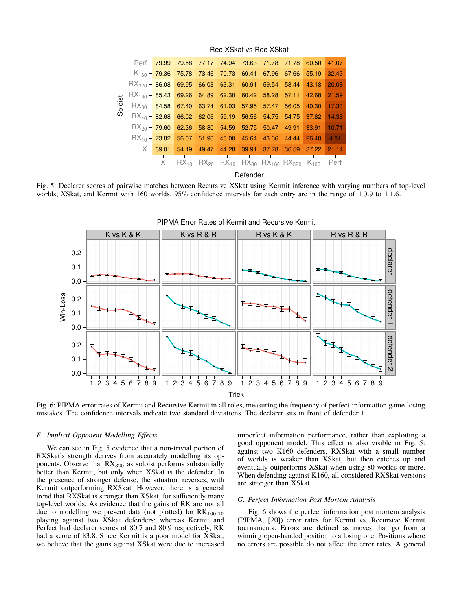|         |                                                                            |  |  |  |  |  | Perf - 79.99 79.58 77.17 74.94 73.63 71.78 71.78 60.50                                                                   |  |  | 41.07   |  |
|---------|----------------------------------------------------------------------------|--|--|--|--|--|--------------------------------------------------------------------------------------------------------------------------|--|--|---------|--|
|         |                                                                            |  |  |  |  |  | $K_{160}$ – 79.36 75.78 73.46 70.73 69.41 67.96 67.66 55.19                                                              |  |  | 32.43   |  |
|         | $\text{RX}_{320}$ – 86.08 69.95 66.03 63.31 60.91 59.54 58.44 43.18        |  |  |  |  |  |                                                                                                                          |  |  | 20.08   |  |
| Soloist | $\frac{18}{160} - \frac{85.43}{69.26}$ 64.89 62.30 60.42 58.28 57.11 42.68 |  |  |  |  |  |                                                                                                                          |  |  | 21.59   |  |
|         | $\text{RX}_{80}$ - 84.58 67.40 63.74 61.03 57.95 57.47 56.05 40.30         |  |  |  |  |  |                                                                                                                          |  |  | 17.33   |  |
|         | $\text{RX}_{40}$ – 82.68 66.02 62.06 59.19 56.56 54.75 54.75 37.82         |  |  |  |  |  |                                                                                                                          |  |  | 14.38   |  |
|         |                                                                            |  |  |  |  |  | $\text{RX}_{20}$ – 79.60 62.36 58.80 54.59 52.75 50.47 49.91 33.91                                                       |  |  | 10.71   |  |
|         |                                                                            |  |  |  |  |  | $\text{RX}_{10}$ – 73.82 56.07 51.96 48.00 45.64 43.36 44.44 26.40                                                       |  |  | $-4.81$ |  |
|         |                                                                            |  |  |  |  |  | $X - 69.01$ 54.19 49.47 44.28 39.91 37.78 36.59 37.22 21.14                                                              |  |  |         |  |
|         |                                                                            |  |  |  |  |  |                                                                                                                          |  |  |         |  |
|         |                                                                            |  |  |  |  |  | X $RX_{10}$ RX <sub>20</sub> RX <sub>40</sub> RX <sub>80</sub> RX <sub>160</sub> RX <sub>320</sub> K <sub>160</sub> Perf |  |  |         |  |
|         | Defender                                                                   |  |  |  |  |  |                                                                                                                          |  |  |         |  |

Rec-XSkat vs Rec-XSkat

Fig. 5: Declarer scores of pairwise matches between Recursive XSkat using Kermit inference with varying numbers of top-level worlds, XSkat, and Kermit with 160 worlds. 95% confidence intervals for each entry are in the range of  $\pm 0.9$  to  $\pm 1.6$ .



Fig. 6: PIPMA error rates of Kermit and Recursive Kermit in all roles, measuring the frequency of perfect-information game-losing mistakes. The confidence intervals indicate two standard deviations. The declarer sits in front of defender 1.

## *F. Implicit Opponent Modelling Effects*

We can see in Fig. 5 evidence that a non-trivial portion of RXSkat's strength derives from accurately modelling its opponents. Observe that  $RX_{320}$  as soloist performs substantially better than Kermit, but only when XSkat is the defender. In the presence of stronger defense, the situation reverses, with Kermit outperforming RXSkat. However, there is a general trend that RXSkat is stronger than XSkat, for sufficiently many top-level worlds. As evidence that the gains of RK are not all due to modelling we present data (not plotted) for  $RK_{160,10}$ playing against two XSkat defenders: whereas Kermit and Perfect had declarer scores of 80.7 and 80.9 respectively, RK had a score of 83.8. Since Kermit is a poor model for XSkat, we believe that the gains against XSkat were due to increased imperfect information performance, rather than exploiting a good opponent model. This effect is also visible in Fig. 5: against two K160 defenders, RXSkat with a small number of worlds is weaker than XSkat, but then catches up and eventually outperforms XSkat when using 80 worlds or more. When defending against K160, all considered RXSkat versions are stronger than XSkat.

# *G. Perfect Information Post Mortem Analysis*

Fig. 6 shows the perfect information post mortem analysis (PIPMA, [20]) error rates for Kermit vs. Recursive Kermit tournaments. Errors are defined as moves that go from a winning open-handed position to a losing one. Positions where no errors are possible do not affect the error rates. A general